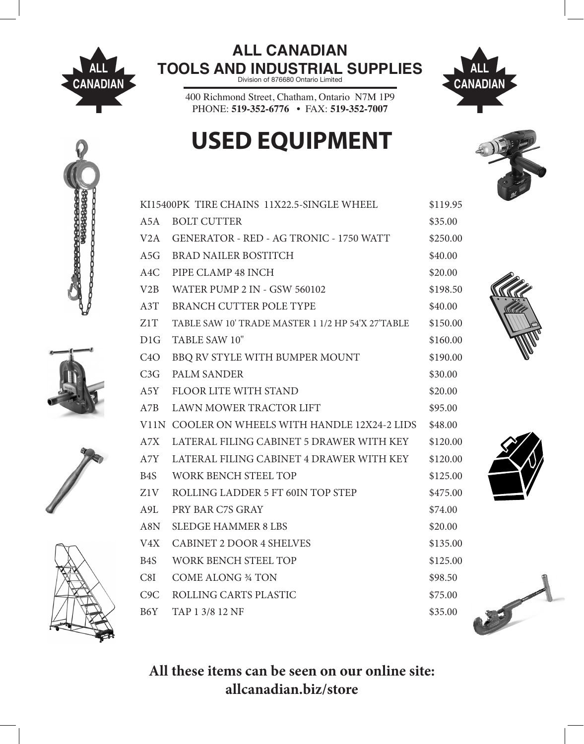

## **ALL CANADIAN TOOLS AND INDUSTRIAL SUPPLIES** Division of 876680 Ontario Limited



400 Richmond Street, Chatham, Ontario N7M 1P9 PHONE: 519-352-6776 • FAX: 519-352-7007

## **USED EQUIPMENT**











All these items can be seen on our online site: allcanadian.biz/store